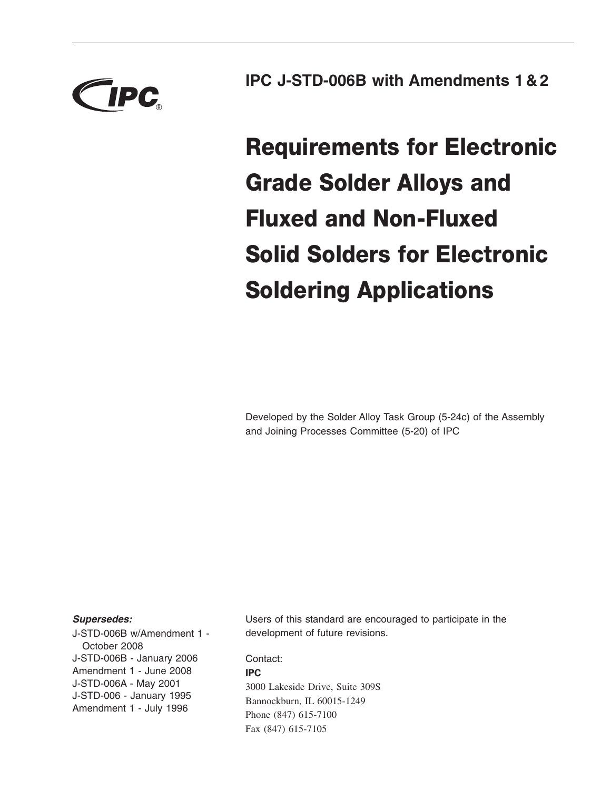

**IPC J-STD-006B with Amendments 1 & 2**

**Requirements for Electronic Grade Solder Alloys and Fluxed and Non-Fluxed Solid Solders for Electronic Soldering Applications**

Developed by the Solder Alloy Task Group (5-24c) of the Assembly and Joining Processes Committee (5-20) of IPC

### *Supersedes:*

J-STD-006B w/Amendment 1 - October 2008 J-STD-006B - January 2006 Amendment 1 - June 2008 J-STD-006A - May 2001 J-STD-006 - January 1995 Amendment 1 - July 1996

Users of this standard are encouraged to participate in the development of future revisions.

Contact: **IPC** 3000 Lakeside Drive, Suite 309S Bannockburn, IL 60015-1249 Phone (847) 615-7100 Fax (847) 615-7105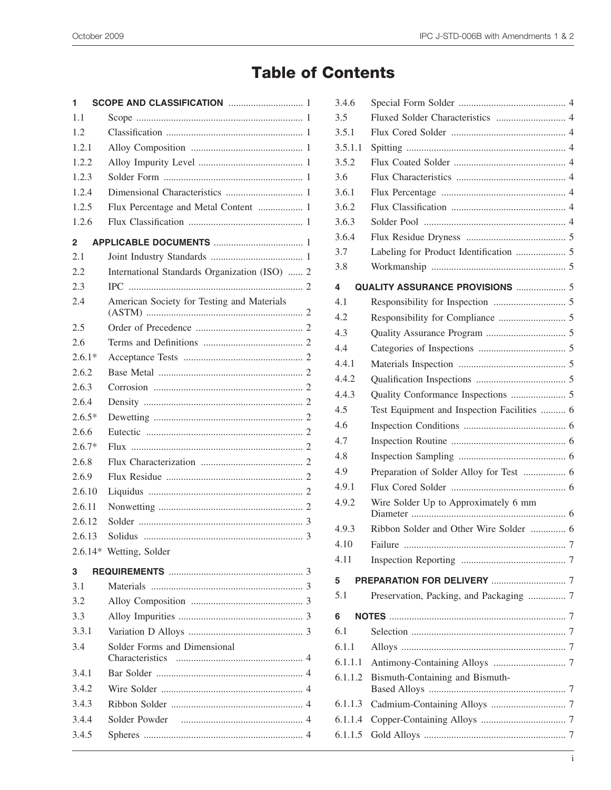# **Table of Contents**

| 1            |                                               |  |  |  |
|--------------|-----------------------------------------------|--|--|--|
| 1.1          |                                               |  |  |  |
| 1.2          |                                               |  |  |  |
| 1.2.1        |                                               |  |  |  |
| 1.2.2        |                                               |  |  |  |
| 1.2.3        |                                               |  |  |  |
| 1.2.4        |                                               |  |  |  |
| 1.2.5        | Flux Percentage and Metal Content  1          |  |  |  |
| 1.2.6        |                                               |  |  |  |
| $\mathbf{2}$ |                                               |  |  |  |
| 2.1          |                                               |  |  |  |
| 2.2          | International Standards Organization (ISO)  2 |  |  |  |
| 2.3          |                                               |  |  |  |
| 2.4          | American Society for Testing and Materials    |  |  |  |
| 2.5          |                                               |  |  |  |
| 2.6          |                                               |  |  |  |
| $2.6.1*$     |                                               |  |  |  |
| 2.6.2        |                                               |  |  |  |
| 2.6.3        |                                               |  |  |  |
| 2.6.4        |                                               |  |  |  |
| $2.6.5*$     |                                               |  |  |  |
| 2.6.6        |                                               |  |  |  |
| $2.6.7*$     |                                               |  |  |  |
| 2.6.8        |                                               |  |  |  |
| 2.6.9        |                                               |  |  |  |
| 2.6.10       |                                               |  |  |  |
| 2.6.11       |                                               |  |  |  |
| 2.6.12       |                                               |  |  |  |
| 2.6.13       |                                               |  |  |  |
|              | 2.6.14* Wetting, Solder                       |  |  |  |
| 3            |                                               |  |  |  |
| 3.1          |                                               |  |  |  |
| 3.2          |                                               |  |  |  |
| 3.3          |                                               |  |  |  |
| 3.3.1        |                                               |  |  |  |
| 3.4          | Solder Forms and Dimensional                  |  |  |  |
| 3.4.1        |                                               |  |  |  |
| 3.4.2        |                                               |  |  |  |
| 3.4.3        |                                               |  |  |  |
| 3.4.4        |                                               |  |  |  |
| 3.4.5        |                                               |  |  |  |
|              |                                               |  |  |  |

| 3.4.6   |                                             |  |
|---------|---------------------------------------------|--|
| 3.5     | Fluxed Solder Characteristics  4            |  |
| 3.5.1   |                                             |  |
| 3.5.1.1 |                                             |  |
| 3.5.2   |                                             |  |
| 3.6     |                                             |  |
| 3.6.1   |                                             |  |
| 3.6.2   |                                             |  |
| 3.6.3   |                                             |  |
| 3.6.4   |                                             |  |
| 3.7     |                                             |  |
| 3.8     |                                             |  |
| 4       | QUALITY ASSURANCE PROVISIONS  5             |  |
| 4.1     |                                             |  |
| 4.2     |                                             |  |
| 4.3     |                                             |  |
| 4.4     |                                             |  |
| 4.4.1   |                                             |  |
| 4.4.2   |                                             |  |
| 4.4.3   |                                             |  |
| 4.5     | Test Equipment and Inspection Facilities  6 |  |
| 4.6     |                                             |  |
| 4.7     |                                             |  |
| 4.8     |                                             |  |
| 4.9     | Preparation of Solder Alloy for Test  6     |  |
| 4.9.1   |                                             |  |
| 4.9.2   | Wire Solder Up to Approximately 6 mm        |  |
| 4.9.3   | Ribbon Solder and Other Wire Solder  6      |  |
| 4.10    |                                             |  |
| 4.11    |                                             |  |
| 5       |                                             |  |
| 5.1     | Preservation, Packing, and Packaging  7     |  |
| 6       |                                             |  |
| 6.1     |                                             |  |
| 6.1.1   |                                             |  |
| 6.1.1.1 |                                             |  |
| 6.1.1.2 | Bismuth-Containing and Bismuth-             |  |
| 6.1.1.3 |                                             |  |
| 6.1.1.4 |                                             |  |
| 6.1.1.5 |                                             |  |
|         |                                             |  |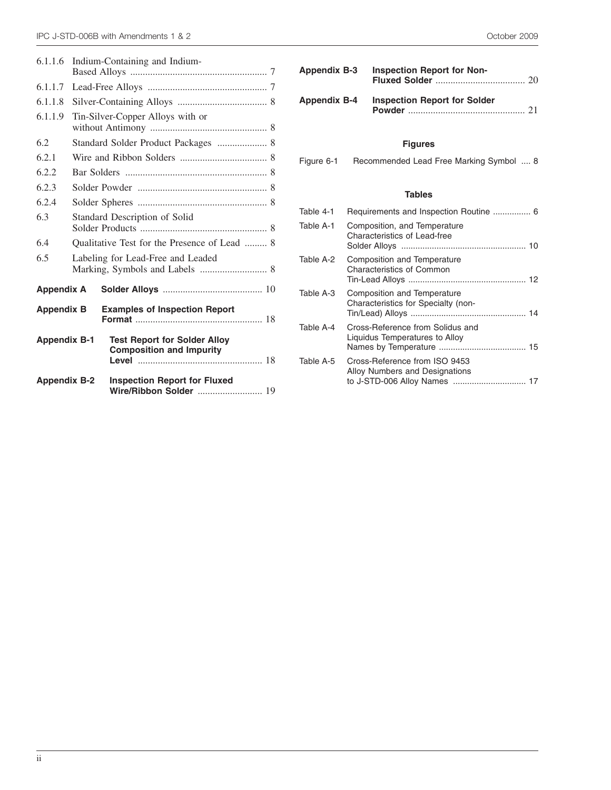| 6.1.1.6                                                   | Indium-Containing and Indium-                |                                                                        |  |  |
|-----------------------------------------------------------|----------------------------------------------|------------------------------------------------------------------------|--|--|
| 6.1.1.7                                                   |                                              |                                                                        |  |  |
| 6.1.1.8                                                   |                                              |                                                                        |  |  |
| 6.1.1.9                                                   | Tin-Silver-Copper Alloys with or             |                                                                        |  |  |
| 6.2                                                       | Standard Solder Product Packages  8          |                                                                        |  |  |
| 6.2.1                                                     |                                              |                                                                        |  |  |
| 6.2.2                                                     |                                              |                                                                        |  |  |
| 6.2.3                                                     |                                              |                                                                        |  |  |
| 6.2.4                                                     |                                              |                                                                        |  |  |
| 6.3                                                       | Standard Description of Solid                |                                                                        |  |  |
| 6.4                                                       | Qualitative Test for the Presence of Lead  8 |                                                                        |  |  |
| 6.5                                                       | Labeling for Lead-Free and Leaded            |                                                                        |  |  |
| <b>Appendix A</b>                                         |                                              |                                                                        |  |  |
| <b>Examples of Inspection Report</b><br><b>Appendix B</b> |                                              |                                                                        |  |  |
| <b>Appendix B-1</b>                                       |                                              | <b>Test Report for Solder Alloy</b><br><b>Composition and Impurity</b> |  |  |
| <b>Appendix B-2</b>                                       |                                              | <b>Inspection Report for Fluxed</b><br>Wire/Ribbon Solder  19          |  |  |

| <b>Appendix B-3</b> | Inspection Report for Non-                       |
|---------------------|--------------------------------------------------|
|                     | <b>Appendix B-4 Inspection Report for Solder</b> |

### **Figures**

Figure 6-1 Recommended Lead Free Marking Symbol .... 8

### **Tables**

| Table 4-1 | Requirements and Inspection Routine  6                                                          |  |
|-----------|-------------------------------------------------------------------------------------------------|--|
| Table A-1 | Composition, and Temperature<br>Characteristics of Lead-free                                    |  |
| Table A-2 | <b>Composition and Temperature</b><br>Characteristics of Common                                 |  |
| Table A-3 | Composition and Temperature<br>Characteristics for Specialty (non-                              |  |
| Table A-4 | Cross-Reference from Solidus and<br>Liquidus Temperatures to Alloy                              |  |
| Table A-5 | Cross-Reference from ISO 9453<br>Alloy Numbers and Designations<br>to J-STD-006 Alloy Names  17 |  |